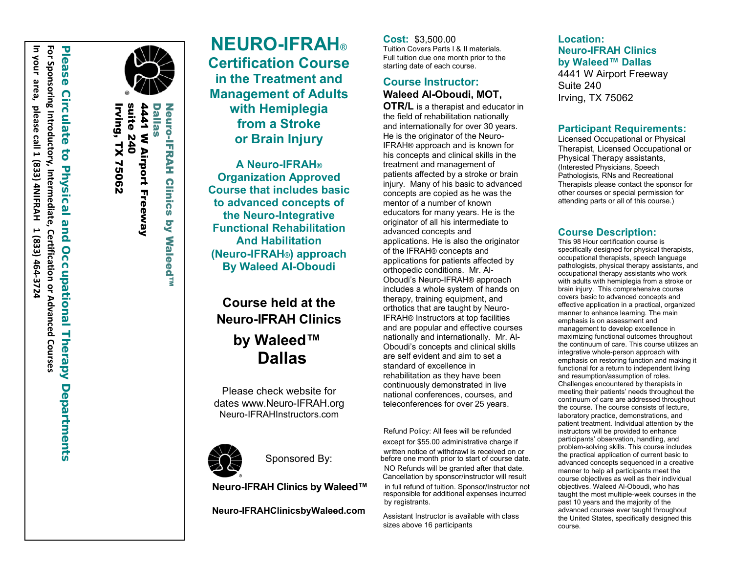

suite suite 240 4441 W Airport Freewa) Dallas Irving , TX 441 W Airport Freeway 240 75062

**Neuro-IFRAH** Neuro-IFRAH Clinics by Waleed™ **Clinics** Kq **Waleed** 

**NEURO -IF RAH** ® **Certification Course in the Treatment and Management of Adults with Hemiplegia from a Stroke or Brain Injury**

**A Neuro-IFRAH ® Organization Approved Course that includes basic to advanced concepts of the Neuro-Integrative Functional Rehabilitation And Habilitation (Neuro-IFRAH ® ) approach By Waleed Al-Oboudi**

# **Course held at the Neuro-I F RAH Clinic s by Waleed™ Dallas**

Please check website for dates www.Neuro-IFRAH.org Neuro-IFRAHInstructors.com



Sponsored By:

**Neuro-IFRAH Clinics by Waleed™**

**Neuro-IFRAHClinicsbyWaleed.com**

**Cost:** \$ 3 , 500.00 Tuition Covers Parts I & II materials. Full tuition due one month prior to the starting date of each course.

# **Course Instructor: Waleed Al -Oboudi, MOT ,**

**OTR/L** is a therapist and educator in the field of rehabilitation nationally and internationally for over 30 years. He is the originator of the Neuro - IFRAH ® approach and is known for his concepts and clinical skills in the treatment and management of patients affected by a stroke or brain injury. Many of his basic to advanced concepts are copied as he was the mentor of a number of known educators for many years. He is the originator of all his intermediate to advanced concepts and applications. He is also the originator of the IFRAH ® concepts and applications for patients affected by orthopedic conditions. Mr. Al - Oboudi's Neuro -IFRAH ® approach includes a whole system of hands on therapy, training equipment, and orthotics that are taught by Neuro - IFRAH ® Instructors at top facilities and are popular and effective courses nationally and internationally. Mr. Al - Oboudi's concepts and clinical skills are self evident and aim to set a standard of excellence in rehabilitation as they have been continuously demonstrated in live national conferences, courses, and teleconferences for over 25 years.

Refund Policy: All fees will be refunded except for \$55.00 administrative charge if written notice of withdrawl is received on or before one month prior to start of course date. NO Refunds will be granted after that date. Cancellation by sponsor/instructor will result

in full refund of tuition. Sponsor/Instructor not responsible for additional expenses incurred by registrants.

Assistant Instructor is available with class sizes above 16 participants

**Location: Neuro-IF R A H Clinic s by Waleed™ Dallas** 4441 W Airport Freeway Suite 240 Irving, TX 75062

# **Participant Requirements:**

Licensed Occupational or Physical Therapist, Licensed Occupational or Physical Therapy assistants , (Interested Physicians, Speech Pathologists, RNs and Recreational Therapists please contact the sponsor for other courses or special permission for attending parts or all of this course.)

# **Course Description:**

This 98 Hour certification c ourse is specifically designed for physical therapists, occupational therapists, speech language pathologists, physical therapy assistants, and occupational therapy assistants who work with adults with hemiplegia from a stroke or brain injury. This comprehensive course covers basic to advanced concepts and effective application in a practical, organized manner to enhance learning. The main emphasis is on assessment and management to develop excellence in maximizing functional outcomes throughout the continuum of care. This course utilizes an integrative whole-person approach with emphasis on restoring function and making it functional for a return to independent living and resumption/assumption of roles. Challenges encountered by therapists in meeting their patients' needs throughout the continuum of care are addressed throughout the course. The course consists of lecture, laboratory practice, demonstrations, and patient treatment. Individual attention by the instructors will be provided to enhance participants' observation, handling, and problem-solving skills. This course includes the practical application of current basic to advanced concepts sequenced in a creative manner to help all participants meet the course objectives as well as their individual objectives. Waleed Al-Oboudi, who has taught the most multiple-week courses in the past 10 years and the majority of the advanced courses ever taught throughout the United States, specifically designed this course.